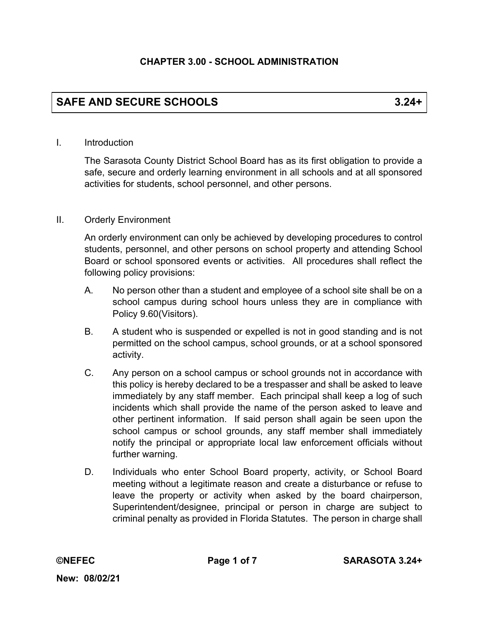# **SAFE AND SECURE SCHOOLS 3.24+**

#### I. Introduction

The Sarasota County District School Board has as its first obligation to provide a safe, secure and orderly learning environment in all schools and at all sponsored activities for students, school personnel, and other persons.

#### II. Orderly Environment

An orderly environment can only be achieved by developing procedures to control students, personnel, and other persons on school property and attending School Board or school sponsored events or activities. All procedures shall reflect the following policy provisions:

- A. No person other than a student and employee of a school site shall be on a school campus during school hours unless they are in compliance with Policy 9.60(Visitors).
- B. A student who is suspended or expelled is not in good standing and is not permitted on the school campus, school grounds, or at a school sponsored activity.
- C. Any person on a school campus or school grounds not in accordance with this policy is hereby declared to be a trespasser and shall be asked to leave immediately by any staff member. Each principal shall keep a log of such incidents which shall provide the name of the person asked to leave and other pertinent information. If said person shall again be seen upon the school campus or school grounds, any staff member shall immediately notify the principal or appropriate local law enforcement officials without further warning.
- D. Individuals who enter School Board property, activity, or School Board meeting without a legitimate reason and create a disturbance or refuse to leave the property or activity when asked by the board chairperson, Superintendent/designee, principal or person in charge are subject to criminal penalty as provided in Florida Statutes. The person in charge shall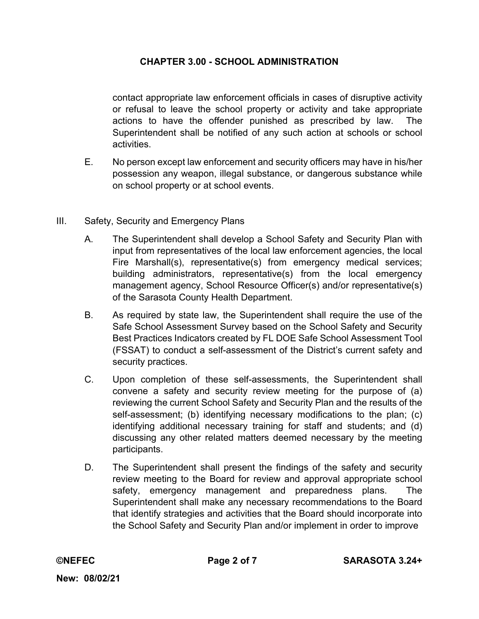contact appropriate law enforcement officials in cases of disruptive activity or refusal to leave the school property or activity and take appropriate actions to have the offender punished as prescribed by law. The Superintendent shall be notified of any such action at schools or school activities.

- E. No person except law enforcement and security officers may have in his/her possession any weapon, illegal substance, or dangerous substance while on school property or at school events.
- III. Safety, Security and Emergency Plans
	- A. The Superintendent shall develop a School Safety and Security Plan with input from representatives of the local law enforcement agencies, the local Fire Marshall(s), representative(s) from emergency medical services; building administrators, representative(s) from the local emergency management agency, School Resource Officer(s) and/or representative(s) of the Sarasota County Health Department.
	- B. As required by state law, the Superintendent shall require the use of the Safe School Assessment Survey based on the School Safety and Security Best Practices Indicators created by FL DOE Safe School Assessment Tool (FSSAT) to conduct a self-assessment of the District's current safety and security practices.
	- C. Upon completion of these self-assessments, the Superintendent shall convene a safety and security review meeting for the purpose of (a) reviewing the current School Safety and Security Plan and the results of the self-assessment; (b) identifying necessary modifications to the plan; (c) identifying additional necessary training for staff and students; and (d) discussing any other related matters deemed necessary by the meeting participants.
	- D. The Superintendent shall present the findings of the safety and security review meeting to the Board for review and approval appropriate school safety, emergency management and preparedness plans. The Superintendent shall make any necessary recommendations to the Board that identify strategies and activities that the Board should incorporate into the School Safety and Security Plan and/or implement in order to improve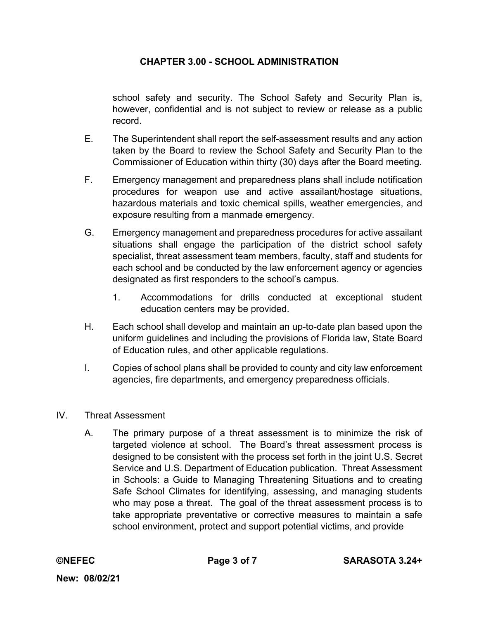school safety and security. The School Safety and Security Plan is, however, confidential and is not subject to review or release as a public record.

- E. The Superintendent shall report the self-assessment results and any action taken by the Board to review the School Safety and Security Plan to the Commissioner of Education within thirty (30) days after the Board meeting.
- F. Emergency management and preparedness plans shall include notification procedures for weapon use and active assailant/hostage situations, hazardous materials and toxic chemical spills, weather emergencies, and exposure resulting from a manmade emergency.
- G. Emergency management and preparedness procedures for active assailant situations shall engage the participation of the district school safety specialist, threat assessment team members, faculty, staff and students for each school and be conducted by the law enforcement agency or agencies designated as first responders to the school's campus.
	- 1. Accommodations for drills conducted at exceptional student education centers may be provided.
- H. Each school shall develop and maintain an up-to-date plan based upon the uniform guidelines and including the provisions of Florida law, State Board of Education rules, and other applicable regulations.
- I. Copies of school plans shall be provided to county and city law enforcement agencies, fire departments, and emergency preparedness officials.
- IV. Threat Assessment
	- A. The primary purpose of a threat assessment is to minimize the risk of targeted violence at school. The Board's threat assessment process is designed to be consistent with the process set forth in the joint U.S. Secret Service and U.S. Department of Education publication. Threat Assessment in Schools: a Guide to Managing Threatening Situations and to creating Safe School Climates for identifying, assessing, and managing students who may pose a threat. The goal of the threat assessment process is to take appropriate preventative or corrective measures to maintain a safe school environment, protect and support potential victims, and provide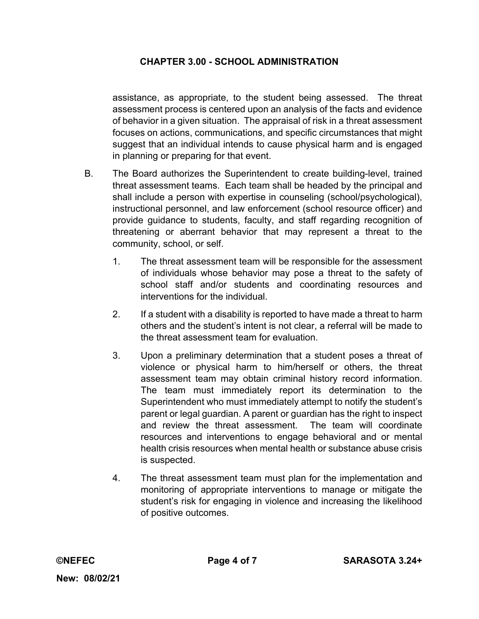assistance, as appropriate, to the student being assessed. The threat assessment process is centered upon an analysis of the facts and evidence of behavior in a given situation. The appraisal of risk in a threat assessment focuses on actions, communications, and specific circumstances that might suggest that an individual intends to cause physical harm and is engaged in planning or preparing for that event.

- B. The Board authorizes the Superintendent to create building-level, trained threat assessment teams. Each team shall be headed by the principal and shall include a person with expertise in counseling (school/psychological), instructional personnel, and law enforcement (school resource officer) and provide guidance to students, faculty, and staff regarding recognition of threatening or aberrant behavior that may represent a threat to the community, school, or self.
	- 1. The threat assessment team will be responsible for the assessment of individuals whose behavior may pose a threat to the safety of school staff and/or students and coordinating resources and interventions for the individual.
	- 2. If a student with a disability is reported to have made a threat to harm others and the student's intent is not clear, a referral will be made to the threat assessment team for evaluation.
	- 3. Upon a preliminary determination that a student poses a threat of violence or physical harm to him/herself or others, the threat assessment team may obtain criminal history record information. The team must immediately report its determination to the Superintendent who must immediately attempt to notify the student's parent or legal guardian. A parent or guardian has the right to inspect and review the threat assessment. The team will coordinate resources and interventions to engage behavioral and or mental health crisis resources when mental health or substance abuse crisis is suspected.
	- 4. The threat assessment team must plan for the implementation and monitoring of appropriate interventions to manage or mitigate the student's risk for engaging in violence and increasing the likelihood of positive outcomes.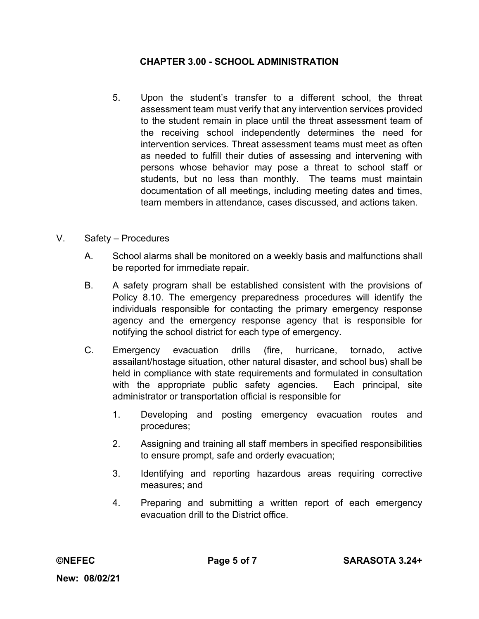- 5. Upon the student's transfer to a different school, the threat assessment team must verify that any intervention services provided to the student remain in place until the threat assessment team of the receiving school independently determines the need for intervention services. Threat assessment teams must meet as often as needed to fulfill their duties of assessing and intervening with persons whose behavior may pose a threat to school staff or students, but no less than monthly. The teams must maintain documentation of all meetings, including meeting dates and times, team members in attendance, cases discussed, and actions taken.
- V. Safety Procedures
	- A. School alarms shall be monitored on a weekly basis and malfunctions shall be reported for immediate repair.
	- B. A safety program shall be established consistent with the provisions of Policy 8.10. The emergency preparedness procedures will identify the individuals responsible for contacting the primary emergency response agency and the emergency response agency that is responsible for notifying the school district for each type of emergency.
	- C. Emergency evacuation drills (fire, hurricane, tornado, active assailant/hostage situation, other natural disaster, and school bus) shall be held in compliance with state requirements and formulated in consultation with the appropriate public safety agencies. Each principal, site administrator or transportation official is responsible for
		- 1. Developing and posting emergency evacuation routes and procedures;
		- 2. Assigning and training all staff members in specified responsibilities to ensure prompt, safe and orderly evacuation;
		- 3. Identifying and reporting hazardous areas requiring corrective measures; and
		- 4. Preparing and submitting a written report of each emergency evacuation drill to the District office.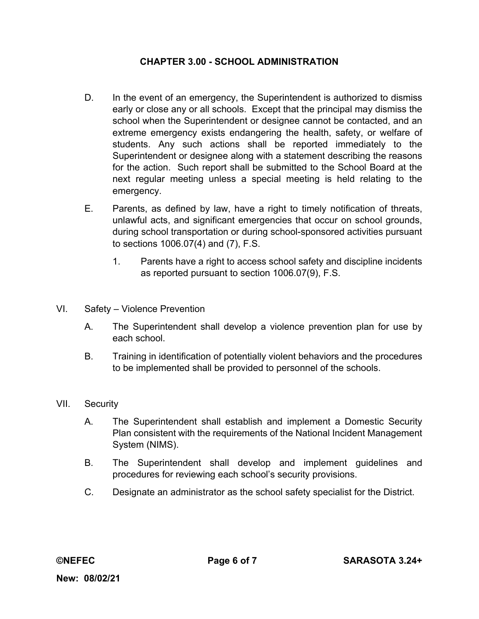- D. In the event of an emergency, the Superintendent is authorized to dismiss early or close any or all schools. Except that the principal may dismiss the school when the Superintendent or designee cannot be contacted, and an extreme emergency exists endangering the health, safety, or welfare of students. Any such actions shall be reported immediately to the Superintendent or designee along with a statement describing the reasons for the action. Such report shall be submitted to the School Board at the next regular meeting unless a special meeting is held relating to the emergency.
- E. Parents, as defined by law, have a right to timely notification of threats, unlawful acts, and significant emergencies that occur on school grounds, during school transportation or during school-sponsored activities pursuant to sections 1006.07(4) and (7), F.S.
	- 1. Parents have a right to access school safety and discipline incidents as reported pursuant to section 1006.07(9), F.S.
- VI. Safety Violence Prevention
	- A. The Superintendent shall develop a violence prevention plan for use by each school.
	- B. Training in identification of potentially violent behaviors and the procedures to be implemented shall be provided to personnel of the schools.
- VII. Security
	- A. The Superintendent shall establish and implement a Domestic Security Plan consistent with the requirements of the National Incident Management System (NIMS).
	- B. The Superintendent shall develop and implement guidelines and procedures for reviewing each school's security provisions.
	- C. Designate an administrator as the school safety specialist for the District.